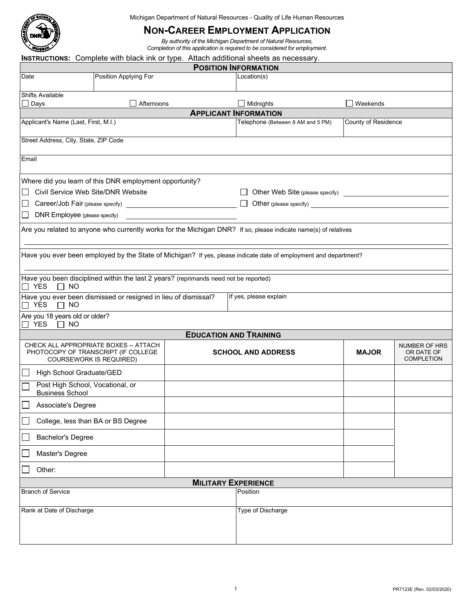

Michigan Department of Natural Resources - Quality of Life Human Resources

## **NON-CAREER EMPLOYMENT APPLICATION**

*By authority of the Michigan Department of Natural Resources, Completion of this application is required to be considered for employment.* 

## **INSTRUCTIONS:** Complete with black ink or type. Attach additional sheets as necessary.

| <b>POSITION INFORMATION</b>                                                                                         |                       |  |                                   |                            |                                                  |  |  |  |  |
|---------------------------------------------------------------------------------------------------------------------|-----------------------|--|-----------------------------------|----------------------------|--------------------------------------------------|--|--|--|--|
| Date                                                                                                                | Position Applying For |  | Location(s)                       |                            |                                                  |  |  |  |  |
| <b>Shifts Available</b>                                                                                             |                       |  |                                   |                            |                                                  |  |  |  |  |
| $\Box$ Days                                                                                                         | Afternoons            |  | $\Box$ Midnights                  | Weekends                   |                                                  |  |  |  |  |
| <b>APPLICANT INFORMATION</b>                                                                                        |                       |  |                                   |                            |                                                  |  |  |  |  |
| Applicant's Name (Last, First, M.I.)                                                                                |                       |  | Telephone (Between 8 AM and 5 PM) | <b>County of Residence</b> |                                                  |  |  |  |  |
| Street Address, City, State, ZIP Code                                                                               |                       |  |                                   |                            |                                                  |  |  |  |  |
| Email                                                                                                               |                       |  |                                   |                            |                                                  |  |  |  |  |
| Where did you learn of this DNR employment opportunity?                                                             |                       |  |                                   |                            |                                                  |  |  |  |  |
| Civil Service Web Site/DNR Website<br>$\mathbb{R}^n$                                                                |                       |  |                                   |                            |                                                  |  |  |  |  |
| $\Box$                                                                                                              |                       |  |                                   |                            |                                                  |  |  |  |  |
| DNR Employee (please specify)<br>$\Box$                                                                             |                       |  |                                   |                            |                                                  |  |  |  |  |
| Are you related to anyone who currently works for the Michigan DNR? If so, please indicate name(s) of relatives     |                       |  |                                   |                            |                                                  |  |  |  |  |
| Have you ever been employed by the State of Michigan? If yes, please indicate date of employment and department?    |                       |  |                                   |                            |                                                  |  |  |  |  |
| Have you been disciplined within the last 2 years? (reprimands need not be reported)                                |                       |  |                                   |                            |                                                  |  |  |  |  |
| $\Box$ YES<br><b>NO</b><br>$\Box$                                                                                   |                       |  |                                   |                            |                                                  |  |  |  |  |
| Have you ever been dismissed or resigned in lieu of dismissal?<br>If yes, please explain<br>$\Box$ YES<br><b>NO</b> |                       |  |                                   |                            |                                                  |  |  |  |  |
| Are you 18 years old or older?<br>$\Box$ YES<br>$\Box$ NO                                                           |                       |  |                                   |                            |                                                  |  |  |  |  |
|                                                                                                                     |                       |  | <b>EDUCATION AND TRAINING</b>     |                            |                                                  |  |  |  |  |
| CHECK ALL APPROPRIATE BOXES -- ATTACH<br>PHOTOCOPY OF TRANSCRIPT (IF COLLEGE<br>COURSEWORK IS REQUIRED)             |                       |  | <b>SCHOOL AND ADDRESS</b>         | <b>MAJOR</b>               | NUMBER OF HRS<br>OR DATE OF<br><b>COMPLETION</b> |  |  |  |  |
| High School Graduate/GED                                                                                            |                       |  |                                   |                            |                                                  |  |  |  |  |
| Post High School, Vocational, or<br><b>Business School</b>                                                          |                       |  |                                   |                            |                                                  |  |  |  |  |
| Associate's Degree                                                                                                  |                       |  |                                   |                            |                                                  |  |  |  |  |
| College, less than BA or BS Degree                                                                                  |                       |  |                                   |                            |                                                  |  |  |  |  |
| <b>Bachelor's Degree</b>                                                                                            |                       |  |                                   |                            |                                                  |  |  |  |  |
| Master's Degree                                                                                                     |                       |  |                                   |                            |                                                  |  |  |  |  |
| Other:                                                                                                              |                       |  |                                   |                            |                                                  |  |  |  |  |
| <b>MILITARY EXPERIENCE</b>                                                                                          |                       |  |                                   |                            |                                                  |  |  |  |  |
| <b>Branch of Service</b><br>Position                                                                                |                       |  |                                   |                            |                                                  |  |  |  |  |
| Rank at Date of Discharge                                                                                           |                       |  | Type of Discharge                 |                            |                                                  |  |  |  |  |